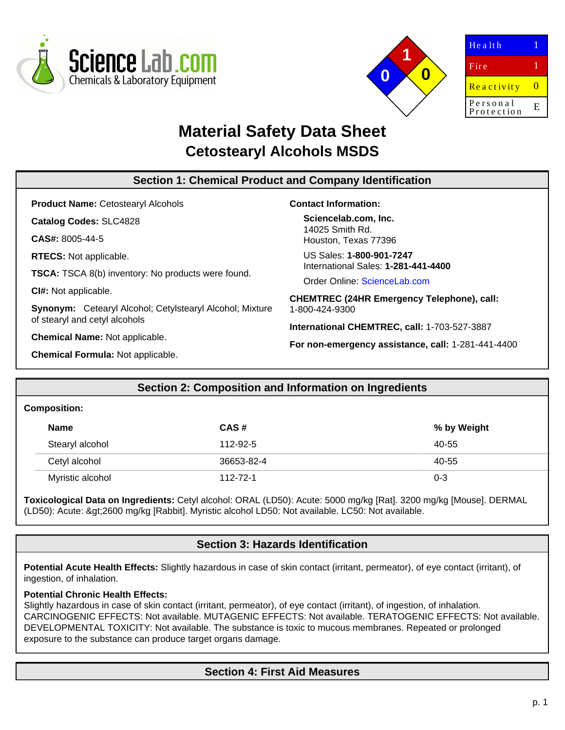



| 0  |
|----|
| E. |
|    |

# **Material Safety Data Sheet Cetostearyl Alcohols MSDS**

| <b>Section 1: Chemical Product and Company Identification</b> |                                                    |  |  |
|---------------------------------------------------------------|----------------------------------------------------|--|--|
| <b>Product Name: Cetostearyl Alcohols</b>                     | <b>Contact Information:</b>                        |  |  |
| <b>Catalog Codes: SLC4828</b>                                 | Sciencelab.com, Inc.                               |  |  |
| $CAS#: 8005-44-5$                                             | 14025 Smith Rd.<br>Houston, Texas 77396            |  |  |
| <b>RTECS:</b> Not applicable.                                 | US Sales: 1-800-901-7247                           |  |  |
| <b>TSCA:</b> TSCA 8(b) inventory: No products were found.     | International Sales: 1-281-441-4400                |  |  |
|                                                               | Order Online: ScienceLab.com                       |  |  |
| CI#: Not applicable.                                          | <b>CHEMTREC (24HR Emergency Telephone), call:</b>  |  |  |
| Synonym: Cetearyl Alcohol; Cetylstearyl Alcohol; Mixture      | 1-800-424-9300                                     |  |  |
| of stearyl and cetyl alcohols                                 | International CHEMTREC, call: 1-703-527-3887       |  |  |
| <b>Chemical Name: Not applicable.</b>                         | For non-emergency assistance, call: 1-281-441-4400 |  |  |
| <b>Chemical Formula: Not applicable.</b>                      |                                                    |  |  |

# **Section 2: Composition and Information on Ingredients**

#### **Composition:**

| <b>Name</b>      | CAS#       | % by Weight |
|------------------|------------|-------------|
| Stearyl alcohol  | 112-92-5   | 40-55       |
| Cetyl alcohol    | 36653-82-4 | 40-55       |
| Myristic alcohol | 112-72-1   | $0 - 3$     |

**Toxicological Data on Ingredients:** Cetyl alcohol: ORAL (LD50): Acute: 5000 mg/kg [Rat]. 3200 mg/kg [Mouse]. DERMAL (LD50): Acute: >2600 mg/kg [Rabbit]. Myristic alcohol LD50: Not available. LC50: Not available.

# **Section 3: Hazards Identification**

**Potential Acute Health Effects:** Slightly hazardous in case of skin contact (irritant, permeator), of eye contact (irritant), of ingestion, of inhalation.

#### **Potential Chronic Health Effects:**

Slightly hazardous in case of skin contact (irritant, permeator), of eye contact (irritant), of ingestion, of inhalation. CARCINOGENIC EFFECTS: Not available. MUTAGENIC EFFECTS: Not available. TERATOGENIC EFFECTS: Not available. DEVELOPMENTAL TOXICITY: Not available. The substance is toxic to mucous membranes. Repeated or prolonged exposure to the substance can produce target organs damage.

# **Section 4: First Aid Measures**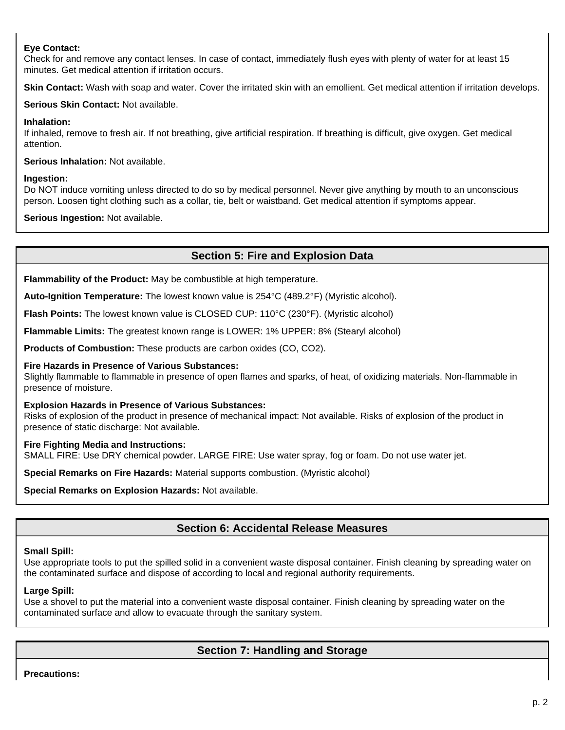### **Eye Contact:**

Check for and remove any contact lenses. In case of contact, immediately flush eyes with plenty of water for at least 15 minutes. Get medical attention if irritation occurs.

Skin Contact: Wash with soap and water. Cover the irritated skin with an emollient. Get medical attention if irritation develops.

**Serious Skin Contact:** Not available.

**Inhalation:**

If inhaled, remove to fresh air. If not breathing, give artificial respiration. If breathing is difficult, give oxygen. Get medical attention.

**Serious Inhalation:** Not available.

#### **Ingestion:**

Do NOT induce vomiting unless directed to do so by medical personnel. Never give anything by mouth to an unconscious person. Loosen tight clothing such as a collar, tie, belt or waistband. Get medical attention if symptoms appear.

**Serious Ingestion:** Not available.

# **Section 5: Fire and Explosion Data**

**Flammability of the Product:** May be combustible at high temperature.

**Auto-Ignition Temperature:** The lowest known value is 254°C (489.2°F) (Myristic alcohol).

**Flash Points:** The lowest known value is CLOSED CUP: 110°C (230°F). (Myristic alcohol)

**Flammable Limits:** The greatest known range is LOWER: 1% UPPER: 8% (Stearyl alcohol)

**Products of Combustion:** These products are carbon oxides (CO, CO2).

#### **Fire Hazards in Presence of Various Substances:**

Slightly flammable to flammable in presence of open flames and sparks, of heat, of oxidizing materials. Non-flammable in presence of moisture.

#### **Explosion Hazards in Presence of Various Substances:**

Risks of explosion of the product in presence of mechanical impact: Not available. Risks of explosion of the product in presence of static discharge: Not available.

#### **Fire Fighting Media and Instructions:**

SMALL FIRE: Use DRY chemical powder. LARGE FIRE: Use water spray, fog or foam. Do not use water jet.

**Special Remarks on Fire Hazards:** Material supports combustion. (Myristic alcohol)

**Special Remarks on Explosion Hazards:** Not available.

# **Section 6: Accidental Release Measures**

#### **Small Spill:**

Use appropriate tools to put the spilled solid in a convenient waste disposal container. Finish cleaning by spreading water on the contaminated surface and dispose of according to local and regional authority requirements.

#### **Large Spill:**

Use a shovel to put the material into a convenient waste disposal container. Finish cleaning by spreading water on the contaminated surface and allow to evacuate through the sanitary system.

# **Section 7: Handling and Storage**

**Precautions:**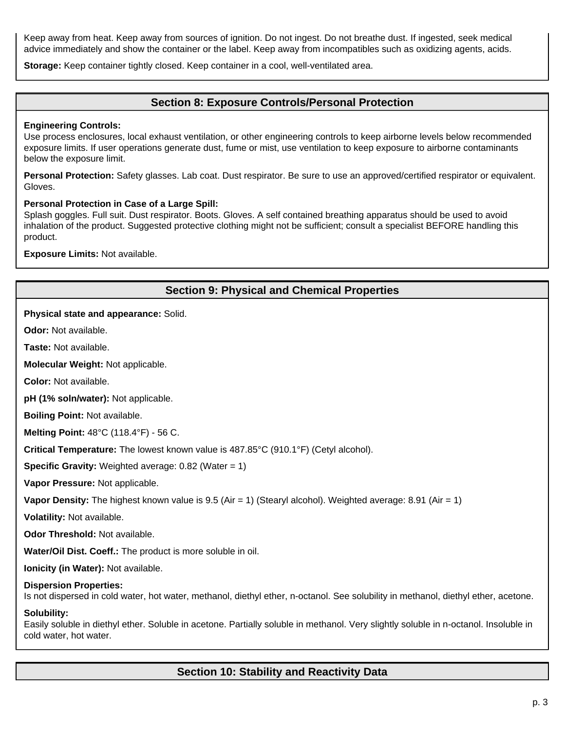Keep away from heat. Keep away from sources of ignition. Do not ingest. Do not breathe dust. If ingested, seek medical advice immediately and show the container or the label. Keep away from incompatibles such as oxidizing agents, acids.

**Storage:** Keep container tightly closed. Keep container in a cool, well-ventilated area.

### **Section 8: Exposure Controls/Personal Protection**

#### **Engineering Controls:**

Use process enclosures, local exhaust ventilation, or other engineering controls to keep airborne levels below recommended exposure limits. If user operations generate dust, fume or mist, use ventilation to keep exposure to airborne contaminants below the exposure limit.

**Personal Protection:** Safety glasses. Lab coat. Dust respirator. Be sure to use an approved/certified respirator or equivalent. Gloves.

#### **Personal Protection in Case of a Large Spill:**

Splash goggles. Full suit. Dust respirator. Boots. Gloves. A self contained breathing apparatus should be used to avoid inhalation of the product. Suggested protective clothing might not be sufficient; consult a specialist BEFORE handling this product.

**Exposure Limits:** Not available.

| <b>Section 9: Physical and Chemical Properties</b>                                                                                                                            |  |  |
|-------------------------------------------------------------------------------------------------------------------------------------------------------------------------------|--|--|
| Physical state and appearance: Solid.                                                                                                                                         |  |  |
| <b>Odor:</b> Not available.                                                                                                                                                   |  |  |
| Taste: Not available.                                                                                                                                                         |  |  |
| Molecular Weight: Not applicable.                                                                                                                                             |  |  |
| <b>Color: Not available.</b>                                                                                                                                                  |  |  |
| pH (1% soln/water): Not applicable.                                                                                                                                           |  |  |
| <b>Boiling Point: Not available.</b>                                                                                                                                          |  |  |
| Melting Point: 48°C (118.4°F) - 56 C.                                                                                                                                         |  |  |
| Critical Temperature: The lowest known value is 487.85°C (910.1°F) (Cetyl alcohol).                                                                                           |  |  |
| <b>Specific Gravity:</b> Weighted average: $0.82$ (Water = 1)                                                                                                                 |  |  |
| Vapor Pressure: Not applicable.                                                                                                                                               |  |  |
| Vapor Density: The highest known value is 9.5 (Air = 1) (Stearyl alcohol). Weighted average: 8.91 (Air = 1)                                                                   |  |  |
| Volatility: Not available.                                                                                                                                                    |  |  |
| Odor Threshold: Not available.                                                                                                                                                |  |  |
| Water/Oil Dist. Coeff.: The product is more soluble in oil.                                                                                                                   |  |  |
| Ionicity (in Water): Not available.                                                                                                                                           |  |  |
| <b>Dispersion Properties:</b><br>Is not dispersed in cold water, hot water, methanol, diethyl ether, n-octanol. See solubility in methanol, diethyl ether, acetone.           |  |  |
| Solubility:<br>Easily soluble in diethyl ether. Soluble in acetone. Partially soluble in methanol. Very slightly soluble in n-octanol. Insoluble in<br>cold water, hot water. |  |  |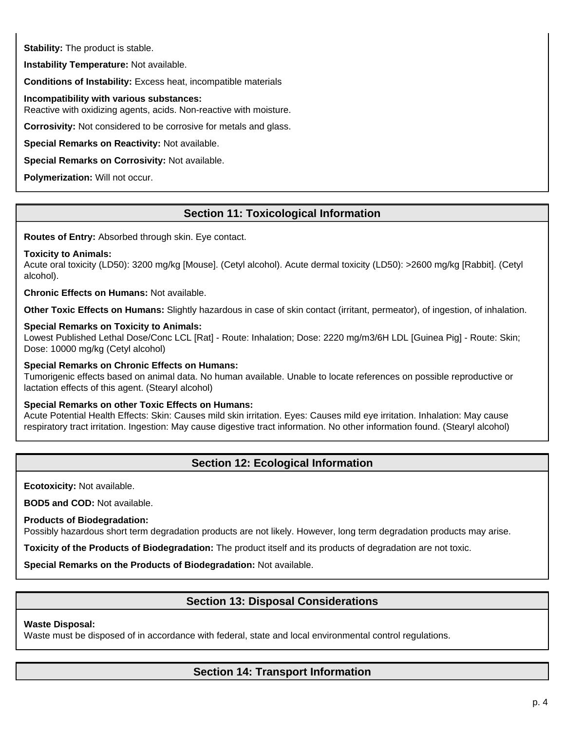**Stability:** The product is stable.

**Instability Temperature:** Not available.

**Conditions of Instability:** Excess heat, incompatible materials

**Incompatibility with various substances:**

Reactive with oxidizing agents, acids. Non-reactive with moisture.

**Corrosivity:** Not considered to be corrosive for metals and glass.

**Special Remarks on Reactivity:** Not available.

**Special Remarks on Corrosivity:** Not available.

**Polymerization:** Will not occur.

# **Section 11: Toxicological Information**

**Routes of Entry:** Absorbed through skin. Eye contact.

### **Toxicity to Animals:**

Acute oral toxicity (LD50): 3200 mg/kg [Mouse]. (Cetyl alcohol). Acute dermal toxicity (LD50): >2600 mg/kg [Rabbit]. (Cetyl alcohol).

**Chronic Effects on Humans:** Not available.

**Other Toxic Effects on Humans:** Slightly hazardous in case of skin contact (irritant, permeator), of ingestion, of inhalation.

#### **Special Remarks on Toxicity to Animals:**

Lowest Published Lethal Dose/Conc LCL [Rat] - Route: Inhalation; Dose: 2220 mg/m3/6H LDL [Guinea Pig] - Route: Skin; Dose: 10000 mg/kg (Cetyl alcohol)

**Special Remarks on Chronic Effects on Humans:**

Tumorigenic effects based on animal data. No human available. Unable to locate references on possible reproductive or lactation effects of this agent. (Stearyl alcohol)

#### **Special Remarks on other Toxic Effects on Humans:**

Acute Potential Health Effects: Skin: Causes mild skin irritation. Eyes: Causes mild eye irritation. Inhalation: May cause respiratory tract irritation. Ingestion: May cause digestive tract information. No other information found. (Stearyl alcohol)

# **Section 12: Ecological Information**

**Ecotoxicity:** Not available.

**BOD5 and COD:** Not available.

**Products of Biodegradation:**

Possibly hazardous short term degradation products are not likely. However, long term degradation products may arise.

**Toxicity of the Products of Biodegradation:** The product itself and its products of degradation are not toxic.

**Special Remarks on the Products of Biodegradation:** Not available.

# **Section 13: Disposal Considerations**

#### **Waste Disposal:**

Waste must be disposed of in accordance with federal, state and local environmental control regulations.

# **Section 14: Transport Information**